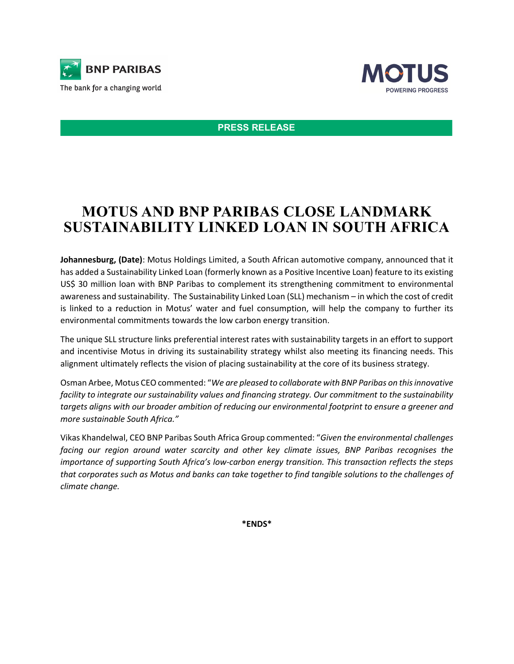



**PRESS RELEASE**

## **MOTUS AND BNP PARIBAS CLOSE LANDMARK SUSTAINABILITY LINKED LOAN IN SOUTH AFRICA**

**Johannesburg, (Date)**: Motus Holdings Limited, a South African automotive company, announced that it has added a Sustainability Linked Loan (formerly known as a Positive Incentive Loan) feature to its existing US\$ 30 million loan with BNP Paribas to complement its strengthening commitment to environmental awareness and sustainability. The Sustainability Linked Loan (SLL) mechanism – in which the cost of credit is linked to a reduction in Motus' water and fuel consumption, will help the company to further its environmental commitments towards the low carbon energy transition.

The unique SLL structure links preferential interest rates with sustainability targets in an effort to support and incentivise Motus in driving its sustainability strategy whilst also meeting its financing needs. This alignment ultimately reflects the vision of placing sustainability at the core of its business strategy.

Osman Arbee, Motus CEOcommented: "*We are pleased to collaborate with BNP Paribas on this innovative facility to integrate our sustainability values and financing strategy. Our commitment to the sustainability targets aligns with our broader ambition of reducing our environmental footprint to ensure a greener and more sustainable South Africa."*

Vikas Khandelwal, CEO BNP Paribas South Africa Group commented: "*Given the environmental challenges facing our region around water scarcity and other key climate issues, BNP Paribas recognises the importance of supporting South Africa's low-carbon energy transition. This transaction reflects the steps that corporates such as Motus and banks can take together to find tangible solutions to the challenges of climate change.*

**\*ENDS\***